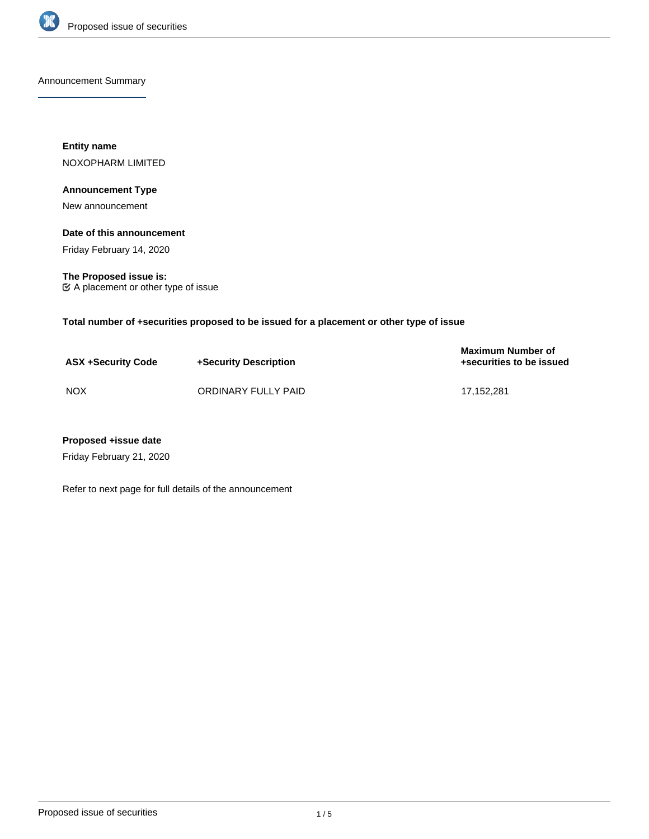

Announcement Summary

**Entity name** NOXOPHARM LIMITED

# **Announcement Type**

New announcement

# **Date of this announcement**

Friday February 14, 2020

**The Proposed issue is:** A placement or other type of issue

**Total number of +securities proposed to be issued for a placement or other type of issue**

| <b>ASX +Security Code</b> | +Security Description | <b>Maximum Number of</b><br>+securities to be issued |
|---------------------------|-----------------------|------------------------------------------------------|
| <b>NOX</b>                | ORDINARY FULLY PAID   | 17.152.281                                           |

# **Proposed +issue date**

Friday February 21, 2020

Refer to next page for full details of the announcement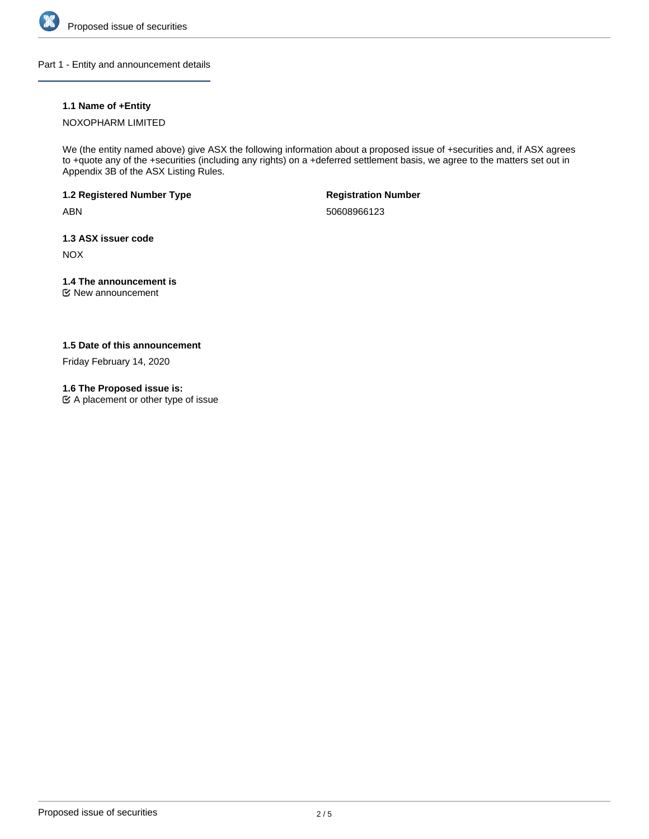

Part 1 - Entity and announcement details

# **1.1 Name of +Entity**

### NOXOPHARM LIMITED

We (the entity named above) give ASX the following information about a proposed issue of +securities and, if ASX agrees to +quote any of the +securities (including any rights) on a +deferred settlement basis, we agree to the matters set out in Appendix 3B of the ASX Listing Rules.

**1.2 Registered Number Type**

ABN

**Registration Number**

50608966123

**1.3 ASX issuer code**

NOX

# **1.4 The announcement is**

New announcement

# **1.5 Date of this announcement**

Friday February 14, 2020

# **1.6 The Proposed issue is:**

A placement or other type of issue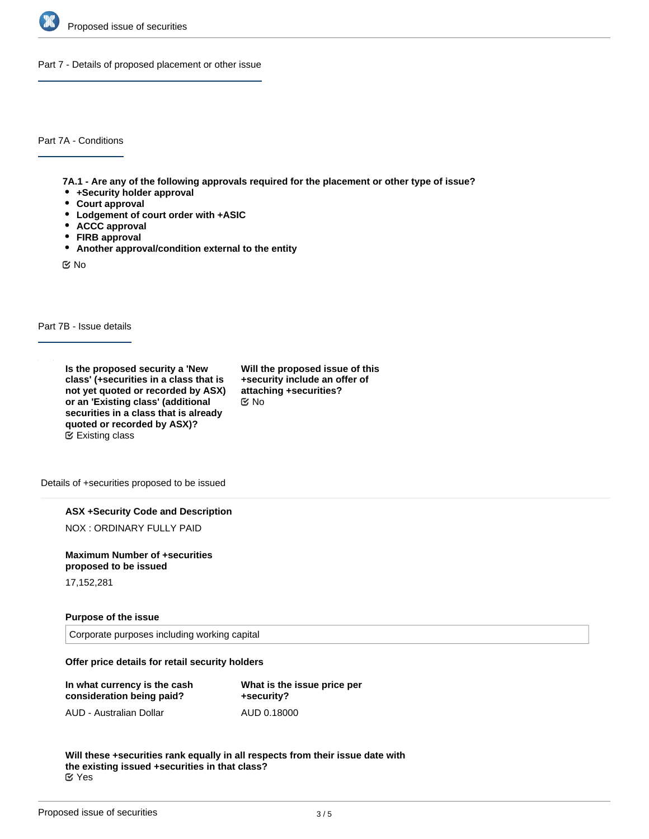

Part 7 - Details of proposed placement or other issue

Part 7A - Conditions

**7A.1 - Are any of the following approvals required for the placement or other type of issue?**

- **+Security holder approval**
- **Court approval**
- **Lodgement of court order with +ASIC**
- **ACCC approval**
- **FIRB approval**
- **Another approval/condition external to the entity**

No

Part 7B - Issue details

**Is the proposed security a 'New class' (+securities in a class that is not yet quoted or recorded by ASX) or an 'Existing class' (additional securities in a class that is already quoted or recorded by ASX)?** Existing class

**Will the proposed issue of this +security include an offer of attaching +securities?** No

Details of +securities proposed to be issued

**ASX +Security Code and Description**

NOX : ORDINARY FULLY PAID

**Maximum Number of +securities proposed to be issued**

17,152,281

### **Purpose of the issue**

Corporate purposes including working capital

### **Offer price details for retail security holders**

| In what currency is the cash | What is the issue price per |
|------------------------------|-----------------------------|
| consideration being paid?    | +security?                  |
| AUD - Australian Dollar      | AUD 0.18000                 |

**Will these +securities rank equally in all respects from their issue date with the existing issued +securities in that class?** Yes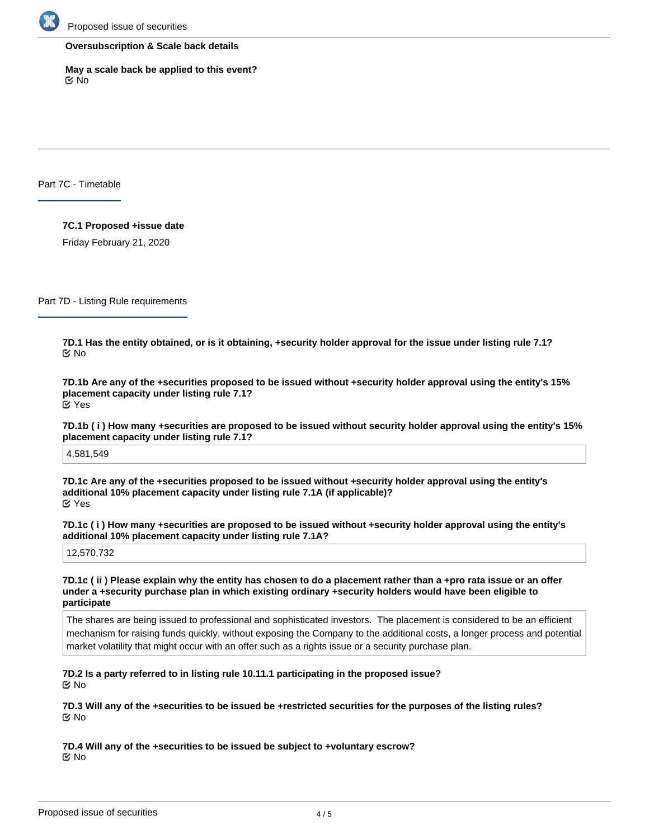

#### **Oversubscription & Scale back details**

**May a scale back be applied to this event?** No

Part 7C - Timetable

**7C.1 Proposed +issue date**

Friday February 21, 2020

Part 7D - Listing Rule requirements

**7D.1 Has the entity obtained, or is it obtaining, +security holder approval for the issue under listing rule 7.1? ⊠**No

**7D.1b Are any of the +securities proposed to be issued without +security holder approval using the entity's 15% placement capacity under listing rule 7.1?** Yes

**7D.1b ( i ) How many +securities are proposed to be issued without security holder approval using the entity's 15% placement capacity under listing rule 7.1?**

4,581,549

**7D.1c Are any of the +securities proposed to be issued without +security holder approval using the entity's additional 10% placement capacity under listing rule 7.1A (if applicable)?** Yes

**7D.1c ( i ) How many +securities are proposed to be issued without +security holder approval using the entity's additional 10% placement capacity under listing rule 7.1A?**

12,570,732

**7D.1c ( ii ) Please explain why the entity has chosen to do a placement rather than a +pro rata issue or an offer under a +security purchase plan in which existing ordinary +security holders would have been eligible to participate**

The shares are being issued to professional and sophisticated investors. The placement is considered to be an efficient mechanism for raising funds quickly, without exposing the Company to the additional costs, a longer process and potential market volatility that might occur with an offer such as a rights issue or a security purchase plan.

**7D.2 Is a party referred to in listing rule 10.11.1 participating in the proposed issue?** No

**7D.3 Will any of the +securities to be issued be +restricted securities for the purposes of the listing rules?** No

**7D.4 Will any of the +securities to be issued be subject to +voluntary escrow? K** No